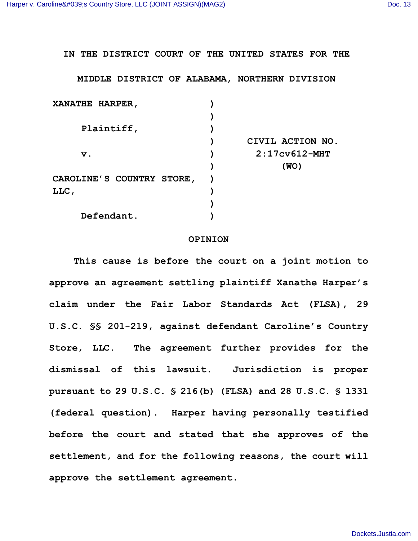**IN THE DISTRICT COURT OF THE UNITED STATES FOR THE**

**MIDDLE DISTRICT OF ALABAMA, NORTHERN DIVISION**

| <b>XANATHE HARPER,</b>           |                  |
|----------------------------------|------------------|
|                                  |                  |
| Plaintiff,                       |                  |
|                                  | CIVIL ACTION NO. |
| $\mathbf v$ .                    | $2:17cy612-MHT$  |
|                                  | (WO)             |
| <b>CAROLINE'S COUNTRY STORE,</b> |                  |
| LLC,                             |                  |
|                                  |                  |
| Defendant.                       |                  |

## **OPINION**

**This cause is before the court on a joint motion to approve an agreement settling plaintiff Xanathe Harper's claim under the Fair Labor Standards Act (FLSA), 29 U.S.C. §§ 201-219, against defendant Caroline's Country Store, LLC. The agreement further provides for the dismissal of this lawsuit. Jurisdiction is proper pursuant to 29 U.S.C. § 216(b) (FLSA) and 28 U.S.C. § 1331 (federal question). Harper having personally testified before the court and stated that she approves of the settlement, and for the following reasons, the court will approve the settlement agreement.**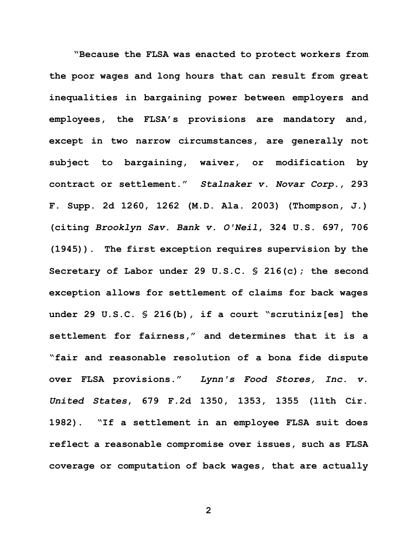**"Because the FLSA was enacted to protect workers from the poor wages and long hours that can result from great inequalities in bargaining power between employers and employees, the FLSA's provisions are mandatory and, except in two narrow circumstances, are generally not subject to bargaining, waiver, or modification by contract or settlement."** *Stalnaker v. Novar Corp.***, 293 F. Supp. 2d 1260, 1262 (M.D. Ala. 2003) (Thompson, J.) (citing** *Brooklyn Sav. Bank v. O'Neil***, 324 U.S. 697, 706 (1945)). The first exception requires supervision by the Secretary of Labor under 29 U.S.C. § 216(c); the second exception allows for settlement of claims for back wages under 29 U.S.C. § 216(b), if a court "scrutiniz[es] the settlement for fairness," and determines that it is a "fair and reasonable resolution of a bona fide dispute over FLSA provisions."** *Lynn's Food Stores, Inc. v. United States***, 679 F.2d 1350, 1353, 1355 (11th Cir. 1982). "If a settlement in an employee FLSA suit does reflect a reasonable compromise over issues, such as FLSA coverage or computation of back wages, that are actually** 

**2**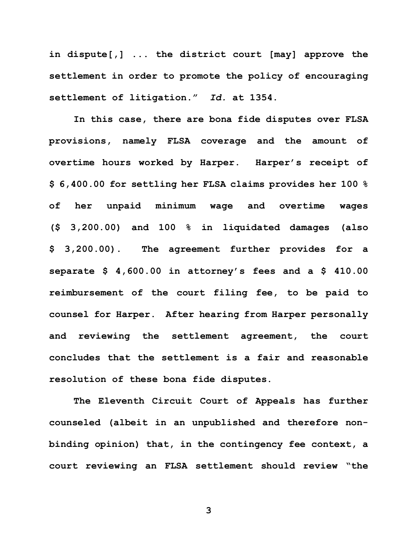**in dispute[,] ... the district court [may] approve the settlement in order to promote the policy of encouraging settlement of litigation."** *Id.* **at 1354.** 

**In this case, there are bona fide disputes over FLSA provisions, namely FLSA coverage and the amount of overtime hours worked by Harper. Harper's receipt of \$ 6,400.00 for settling her FLSA claims provides her 100 % of her unpaid minimum wage and overtime wages (\$ 3,200.00) and 100 % in liquidated damages (also \$ 3,200.00). The agreement further provides for a separate \$ 4,600.00 in attorney's fees and a \$ 410.00 reimbursement of the court filing fee, to be paid to counsel for Harper. After hearing from Harper personally and reviewing the settlement agreement, the court concludes that the settlement is a fair and reasonable resolution of these bona fide disputes.** 

**The Eleventh Circuit Court of Appeals has further counseled (albeit in an unpublished and therefore nonbinding opinion) that, in the contingency fee context, a court reviewing an FLSA settlement should review "the** 

**3**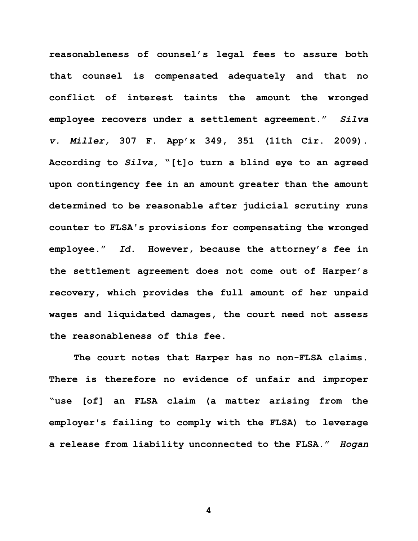**reasonableness of counsel's legal fees to assure both that counsel is compensated adequately and that no conflict of interest taints the amount the wronged employee recovers under a settlement agreement."** *Silva v. Miller,* **307 F. App'x 349, 351 (11th Cir. 2009). According to** *Silva,* **"[t]o turn a blind eye to an agreed upon contingency fee in an amount greater than the amount determined to be reasonable after judicial scrutiny runs counter to FLSA's provisions for compensating the wronged employee."** *Id.* **However, because the attorney's fee in the settlement agreement does not come out of Harper's recovery, which provides the full amount of her unpaid wages and liquidated damages, the court need not assess the reasonableness of this fee.** 

**The court notes that Harper has no non-FLSA claims. There is therefore no evidence of unfair and improper "use [of] an FLSA claim (a matter arising from the employer's failing to comply with the FLSA) to leverage a release from liability unconnected to the FLSA."** *Hogan* 

**4**